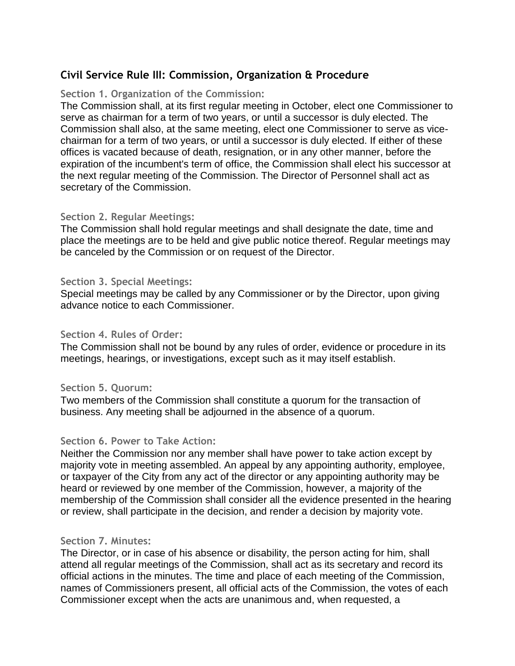# **Civil Service Rule III: Commission, Organization & Procedure**

## **Section 1. Organization of the Commission:**

The Commission shall, at its first regular meeting in October, elect one Commissioner to serve as chairman for a term of two years, or until a successor is duly elected. The Commission shall also, at the same meeting, elect one Commissioner to serve as vicechairman for a term of two years, or until a successor is duly elected. If either of these offices is vacated because of death, resignation, or in any other manner, before the expiration of the incumbent's term of office, the Commission shall elect his successor at the next regular meeting of the Commission. The Director of Personnel shall act as secretary of the Commission.

### **Section 2. Regular Meetings:**

The Commission shall hold regular meetings and shall designate the date, time and place the meetings are to be held and give public notice thereof. Regular meetings may be canceled by the Commission or on request of the Director.

#### **Section 3. Special Meetings:**

Special meetings may be called by any Commissioner or by the Director, upon giving advance notice to each Commissioner.

#### **Section 4. Rules of Order:**

The Commission shall not be bound by any rules of order, evidence or procedure in its meetings, hearings, or investigations, except such as it may itself establish.

## **Section 5. Quorum:**

Two members of the Commission shall constitute a quorum for the transaction of business. Any meeting shall be adjourned in the absence of a quorum.

#### **Section 6. Power to Take Action:**

Neither the Commission nor any member shall have power to take action except by majority vote in meeting assembled. An appeal by any appointing authority, employee, or taxpayer of the City from any act of the director or any appointing authority may be heard or reviewed by one member of the Commission, however, a majority of the membership of the Commission shall consider all the evidence presented in the hearing or review, shall participate in the decision, and render a decision by majority vote.

## **Section 7. Minutes:**

The Director, or in case of his absence or disability, the person acting for him, shall attend all regular meetings of the Commission, shall act as its secretary and record its official actions in the minutes. The time and place of each meeting of the Commission, names of Commissioners present, all official acts of the Commission, the votes of each Commissioner except when the acts are unanimous and, when requested, a